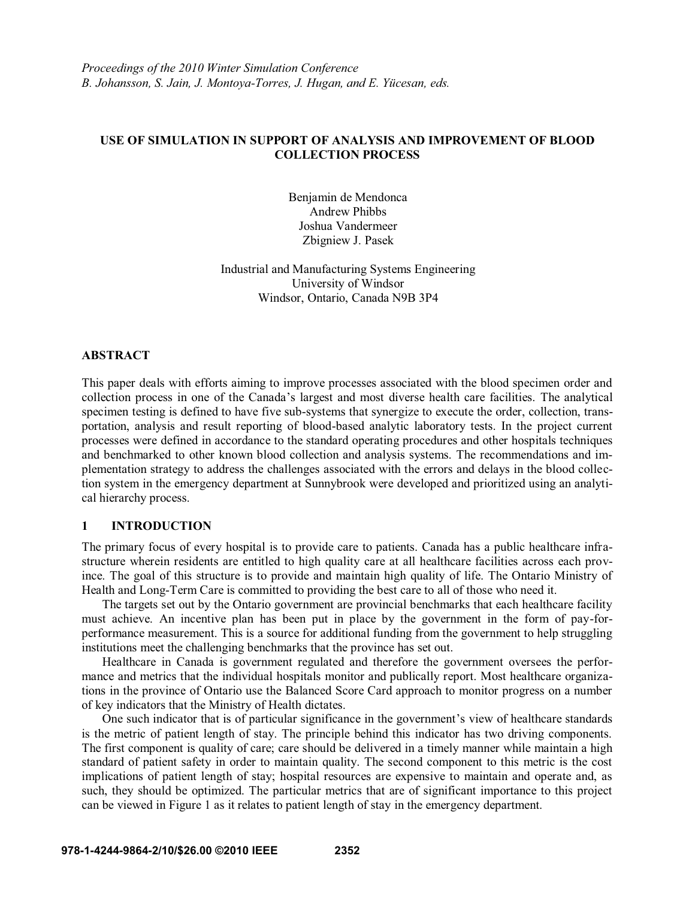## **USE OF SIMULATION IN SUPPORT OF ANALYSIS AND IMPROVEMENT OF BLOOD COLLECTION PROCESS**

Benjamin de Mendonca Andrew Phibbs Joshua Vandermeer Zbigniew J. Pasek

Industrial and Manufacturing Systems Engineering University of Windsor Windsor, Ontario, Canada N9B 3P4

## **ABSTRACT**

This paper deals with efforts aiming to improve processes associated with the blood specimen order and collection process in one of the Canada's largest and most diverse health care facilities. The analytical specimen testing is defined to have five sub-systems that synergize to execute the order, collection, transportation, analysis and result reporting of blood-based analytic laboratory tests. In the project current processes were defined in accordance to the standard operating procedures and other hospitals techniques and benchmarked to other known blood collection and analysis systems. The recommendations and implementation strategy to address the challenges associated with the errors and delays in the blood collection system in the emergency department at Sunnybrook were developed and prioritized using an analytical hierarchy process.

#### **1 INTRODUCTION**

The primary focus of every hospital is to provide care to patients. Canada has a public healthcare infrastructure wherein residents are entitled to high quality care at all healthcare facilities across each province. The goal of this structure is to provide and maintain high quality of life. The Ontario Ministry of Health and Long-Term Care is committed to providing the best care to all of those who need it.

The targets set out by the Ontario government are provincial benchmarks that each healthcare facility must achieve. An incentive plan has been put in place by the government in the form of pay-forperformance measurement. This is a source for additional funding from the government to help struggling institutions meet the challenging benchmarks that the province has set out.

Healthcare in Canada is government regulated and therefore the government oversees the performance and metrics that the individual hospitals monitor and publically report. Most healthcare organizations in the province of Ontario use the Balanced Score Card approach to monitor progress on a number of key indicators that the Ministry of Health dictates.

One such indicator that is of particular significance in the government's view of healthcare standards is the metric of patient length of stay. The principle behind this indicator has two driving components. The first component is quality of care; care should be delivered in a timely manner while maintain a high standard of patient safety in order to maintain quality. The second component to this metric is the cost implications of patient length of stay; hospital resources are expensive to maintain and operate and, as such, they should be optimized. The particular metrics that are of significant importance to this project can be viewed in Figure 1 as it relates to patient length of stay in the emergency department.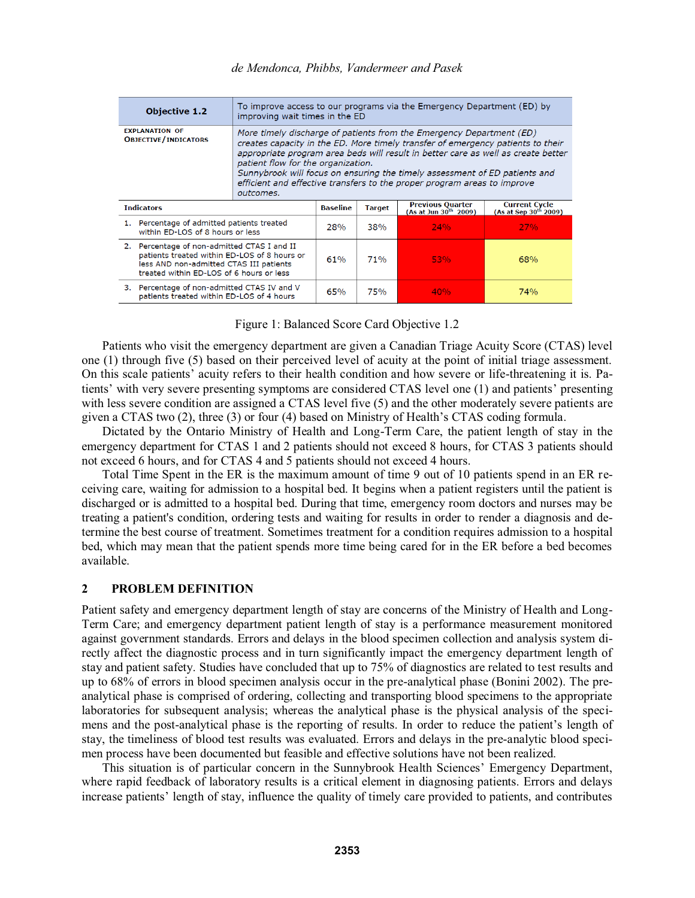| <b>Objective 1.2</b>                                                                                                                                                               |  |                                                                                                                                                                                                                                                                                                                                                                                                        | To improve access to our programs via the Emergency Department (ED) by<br>improving wait times in the ED |        |                                                              |                                                           |  |  |
|------------------------------------------------------------------------------------------------------------------------------------------------------------------------------------|--|--------------------------------------------------------------------------------------------------------------------------------------------------------------------------------------------------------------------------------------------------------------------------------------------------------------------------------------------------------------------------------------------------------|----------------------------------------------------------------------------------------------------------|--------|--------------------------------------------------------------|-----------------------------------------------------------|--|--|
| <b>FXPLANATION OF</b><br><b>OBJECTIVE/INDICATORS</b><br>patient flow for the organization.<br>outcomes.                                                                            |  | More timely discharge of patients from the Emergency Department (ED)<br>creates capacity in the ED. More timely transfer of emergency patients to their<br>appropriate program area beds will result in better care as well as create better<br>Sunnybrook will focus on ensuring the timely assessment of ED patients and<br>efficient and effective transfers to the proper program areas to improve |                                                                                                          |        |                                                              |                                                           |  |  |
| <b>Indicators</b>                                                                                                                                                                  |  |                                                                                                                                                                                                                                                                                                                                                                                                        | <b>Baseline</b>                                                                                          | Target | <b>Previous Quarter</b><br>(As at Jun 30 <sup>th</sup> 2009) | <b>Current Cycle</b><br>(As at Sep 30 <sup>th</sup> 2009) |  |  |
| 1. Percentage of admitted patients treated<br>within ED-LOS of 8 hours or less                                                                                                     |  |                                                                                                                                                                                                                                                                                                                                                                                                        | 28%                                                                                                      | 38%    | 24%                                                          | 27%                                                       |  |  |
| 2. Percentage of non-admitted CTAS I and II<br>patients treated within ED-LOS of 8 hours or<br>less AND non-admitted CTAS III patients<br>treated within ED-LOS of 6 hours or less |  |                                                                                                                                                                                                                                                                                                                                                                                                        | 61%                                                                                                      | 71%    | 53%                                                          | 68%                                                       |  |  |
| 3. Percentage of non-admitted CTAS IV and V<br>patients treated within ED-LOS of 4 hours                                                                                           |  |                                                                                                                                                                                                                                                                                                                                                                                                        | 65%                                                                                                      | 75%    | 40%                                                          | 74%                                                       |  |  |

Figure 1: Balanced Score Card Objective 1.2

Patients who visit the emergency department are given a Canadian Triage Acuity Score (CTAS) level one (1) through five (5) based on their perceived level of acuity at the point of initial triage assessment. On this scale patients' acuity refers to their health condition and how severe or life-threatening it is. Patients' with very severe presenting symptoms are considered CTAS level one (1) and patients' presenting with less severe condition are assigned a CTAS level five (5) and the other moderately severe patients are given a CTAS two (2), three (3) or four (4) based on Ministry of Health's CTAS coding formula.

Dictated by the Ontario Ministry of Health and Long-Term Care, the patient length of stay in the emergency department for CTAS 1 and 2 patients should not exceed 8 hours, for CTAS 3 patients should not exceed 6 hours, and for CTAS 4 and 5 patients should not exceed 4 hours.

Total Time Spent in the ER is the maximum amount of time 9 out of 10 patients spend in an ER receiving care, waiting for admission to a hospital bed. It begins when a patient registers until the patient is discharged or is admitted to a hospital bed. During that time, emergency room doctors and nurses may be treating a patient's condition, ordering tests and waiting for results in order to render a diagnosis and determine the best course of treatment. Sometimes treatment for a condition requires admission to a hospital bed, which may mean that the patient spends more time being cared for in the ER before a bed becomes available.

### **2 PROBLEM DEFINITION**

Patient safety and emergency department length of stay are concerns of the Ministry of Health and Long-Term Care; and emergency department patient length of stay is a performance measurement monitored against government standards. Errors and delays in the blood specimen collection and analysis system directly affect the diagnostic process and in turn significantly impact the emergency department length of stay and patient safety. Studies have concluded that up to 75% of diagnostics are related to test results and up to 68% of errors in blood specimen analysis occur in the pre-analytical phase (Bonini 2002). The preanalytical phase is comprised of ordering, collecting and transporting blood specimens to the appropriate laboratories for subsequent analysis; whereas the analytical phase is the physical analysis of the specimens and the post-analytical phase is the reporting of results. In order to reduce the patient's length of stay, the timeliness of blood test results was evaluated. Errors and delays in the pre-analytic blood specimen process have been documented but feasible and effective solutions have not been realized.

This situation is of particular concern in the Sunnybrook Health Sciences' Emergency Department, where rapid feedback of laboratory results is a critical element in diagnosing patients. Errors and delays increase patients' length of stay, influence the quality of timely care provided to patients, and contributes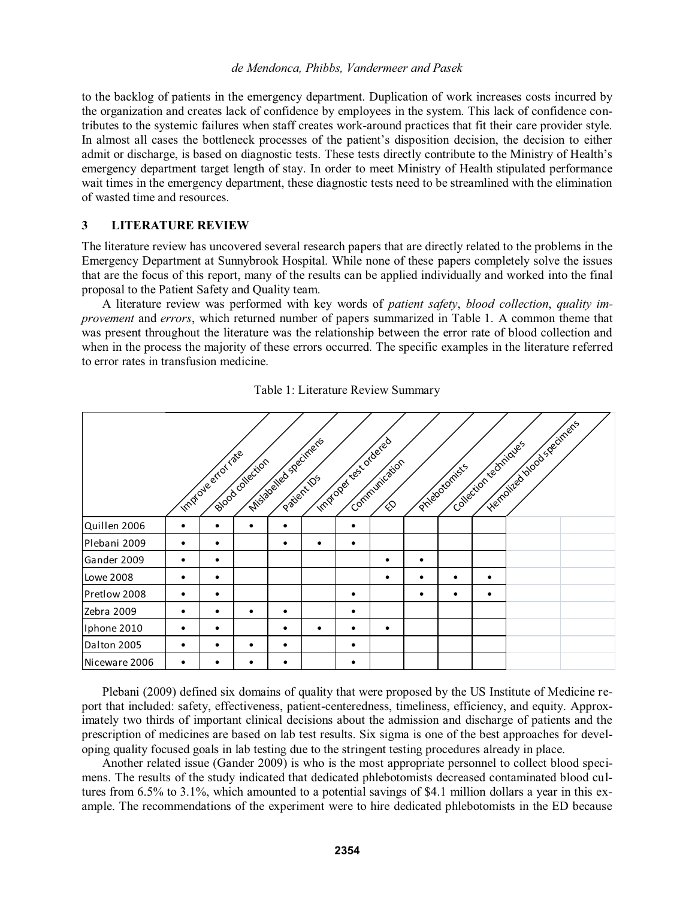to the backlog of patients in the emergency department. Duplication of work increases costs incurred by the organization and creates lack of confidence by employees in the system. This lack of confidence contributes to the systemic failures when staff creates work-around practices that fit their care provider style. In almost all cases the bottleneck processes of the patient's disposition decision, the decision to either admit or discharge, is based on diagnostic tests. These tests directly contribute to the Ministry of Health's emergency department target length of stay. In order to meet Ministry of Health stipulated performance wait times in the emergency department, these diagnostic tests need to be streamlined with the elimination of wasted time and resources.

### **3 LITERATURE REVIEW**

The literature review has uncovered several research papers that are directly related to the problems in the Emergency Department at Sunnybrook Hospital. While none of these papers completely solve the issues that are the focus of this report, many of the results can be applied individually and worked into the final proposal to the Patient Safety and Quality team.

A literature review was performed with key words of *patient safety*, *blood collection*, *quality improvement* and *errors*, which returned number of papers summarized in Table 1. A common theme that was present throughout the literature was the relationship between the error rate of blood collection and when in the process the majority of these errors occurred. The specific examples in the literature referred to error rates in transfusion medicine.





Plebani (2009) defined six domains of quality that were proposed by the US Institute of Medicine report that included: safety, effectiveness, patient-centeredness, timeliness, efficiency, and equity. Approximately two thirds of important clinical decisions about the admission and discharge of patients and the prescription of medicines are based on lab test results. Six sigma is one of the best approaches for developing quality focused goals in lab testing due to the stringent testing procedures already in place.

Another related issue (Gander 2009) is who is the most appropriate personnel to collect blood specimens. The results of the study indicated that dedicated phlebotomists decreased contaminated blood cultures from 6.5% to 3.1%, which amounted to a potential savings of \$4.1 million dollars a year in this example. The recommendations of the experiment were to hire dedicated phlebotomists in the ED because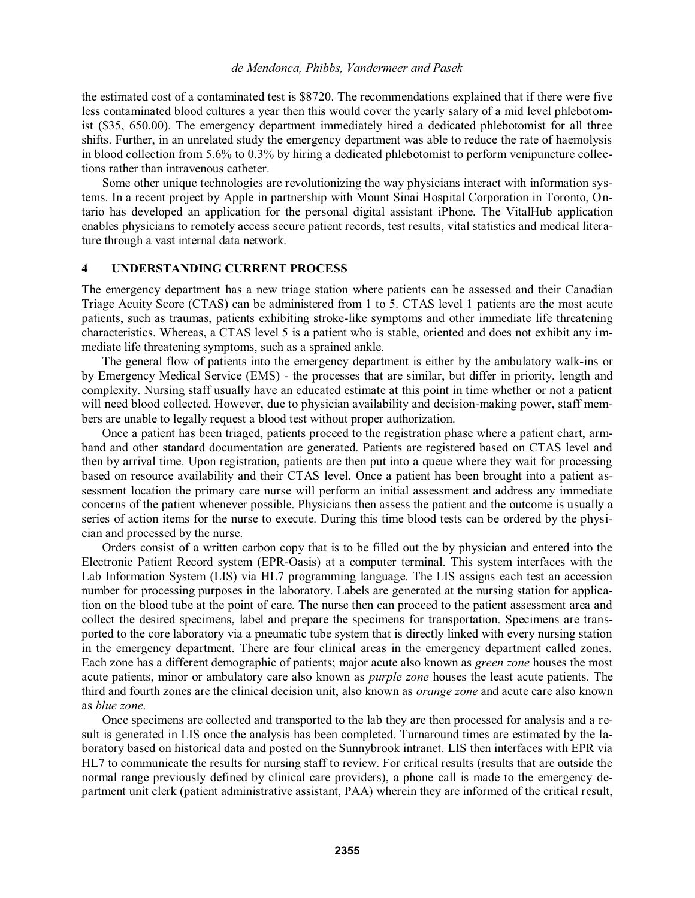the estimated cost of a contaminated test is \$8720. The recommendations explained that if there were five less contaminated blood cultures a year then this would cover the yearly salary of a mid level phlebotomist (\$35, 650.00). The emergency department immediately hired a dedicated phlebotomist for all three shifts. Further, in an unrelated study the emergency department was able to reduce the rate of haemolysis in blood collection from 5.6% to 0.3% by hiring a dedicated phlebotomist to perform venipuncture collections rather than intravenous catheter.

Some other unique technologies are revolutionizing the way physicians interact with information systems. In a recent project by Apple in partnership with Mount Sinai Hospital Corporation in Toronto, Ontario has developed an application for the personal digital assistant iPhone. The VitalHub application enables physicians to remotely access secure patient records, test results, vital statistics and medical literature through a vast internal data network.

### **4 UNDERSTANDING CURRENT PROCESS**

The emergency department has a new triage station where patients can be assessed and their Canadian Triage Acuity Score (CTAS) can be administered from 1 to 5. CTAS level 1 patients are the most acute patients, such as traumas, patients exhibiting stroke-like symptoms and other immediate life threatening characteristics. Whereas, a CTAS level 5 is a patient who is stable, oriented and does not exhibit any immediate life threatening symptoms, such as a sprained ankle.

The general flow of patients into the emergency department is either by the ambulatory walk-ins or by Emergency Medical Service (EMS) - the processes that are similar, but differ in priority, length and complexity. Nursing staff usually have an educated estimate at this point in time whether or not a patient will need blood collected. However, due to physician availability and decision-making power, staff members are unable to legally request a blood test without proper authorization.

Once a patient has been triaged, patients proceed to the registration phase where a patient chart, armband and other standard documentation are generated. Patients are registered based on CTAS level and then by arrival time. Upon registration, patients are then put into a queue where they wait for processing based on resource availability and their CTAS level. Once a patient has been brought into a patient assessment location the primary care nurse will perform an initial assessment and address any immediate concerns of the patient whenever possible. Physicians then assess the patient and the outcome is usually a series of action items for the nurse to execute. During this time blood tests can be ordered by the physician and processed by the nurse.

Orders consist of a written carbon copy that is to be filled out the by physician and entered into the Electronic Patient Record system (EPR-Oasis) at a computer terminal. This system interfaces with the Lab Information System (LIS) via HL7 programming language. The LIS assigns each test an accession number for processing purposes in the laboratory. Labels are generated at the nursing station for application on the blood tube at the point of care. The nurse then can proceed to the patient assessment area and collect the desired specimens, label and prepare the specimens for transportation. Specimens are transported to the core laboratory via a pneumatic tube system that is directly linked with every nursing station in the emergency department. There are four clinical areas in the emergency department called zones. Each zone has a different demographic of patients; major acute also known as *green zone* houses the most acute patients, minor or ambulatory care also known as *purple zone* houses the least acute patients. The third and fourth zones are the clinical decision unit, also known as *orange zone* and acute care also known as *blue zone*.

Once specimens are collected and transported to the lab they are then processed for analysis and a result is generated in LIS once the analysis has been completed. Turnaround times are estimated by the laboratory based on historical data and posted on the Sunnybrook intranet. LIS then interfaces with EPR via HL7 to communicate the results for nursing staff to review. For critical results (results that are outside the normal range previously defined by clinical care providers), a phone call is made to the emergency department unit clerk (patient administrative assistant, PAA) wherein they are informed of the critical result,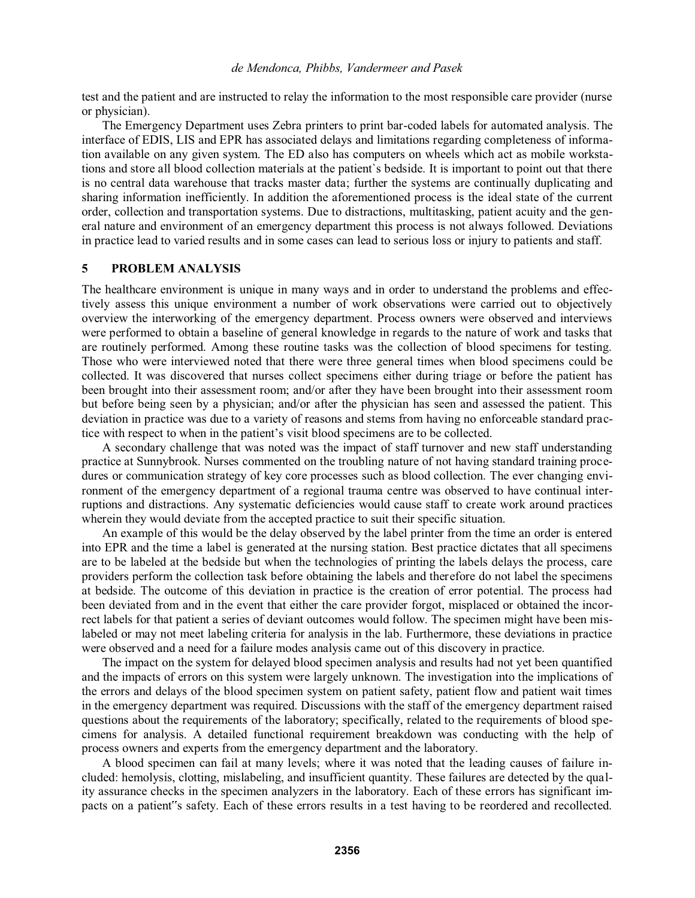test and the patient and are instructed to relay the information to the most responsible care provider (nurse or physician).

The Emergency Department uses Zebra printers to print bar-coded labels for automated analysis. The interface of EDIS, LIS and EPR has associated delays and limitations regarding completeness of information available on any given system. The ED also has computers on wheels which act as mobile workstations and store all blood collection materials at the patient`s bedside. It is important to point out that there is no central data warehouse that tracks master data; further the systems are continually duplicating and sharing information inefficiently. In addition the aforementioned process is the ideal state of the current order, collection and transportation systems. Due to distractions, multitasking, patient acuity and the general nature and environment of an emergency department this process is not always followed. Deviations in practice lead to varied results and in some cases can lead to serious loss or injury to patients and staff.

### **5 PROBLEM ANALYSIS**

The healthcare environment is unique in many ways and in order to understand the problems and effectively assess this unique environment a number of work observations were carried out to objectively overview the interworking of the emergency department. Process owners were observed and interviews were performed to obtain a baseline of general knowledge in regards to the nature of work and tasks that are routinely performed. Among these routine tasks was the collection of blood specimens for testing. Those who were interviewed noted that there were three general times when blood specimens could be collected. It was discovered that nurses collect specimens either during triage or before the patient has been brought into their assessment room; and/or after they have been brought into their assessment room but before being seen by a physician; and/or after the physician has seen and assessed the patient. This deviation in practice was due to a variety of reasons and stems from having no enforceable standard practice with respect to when in the patient's visit blood specimens are to be collected.

A secondary challenge that was noted was the impact of staff turnover and new staff understanding practice at Sunnybrook. Nurses commented on the troubling nature of not having standard training procedures or communication strategy of key core processes such as blood collection. The ever changing environment of the emergency department of a regional trauma centre was observed to have continual interruptions and distractions. Any systematic deficiencies would cause staff to create work around practices wherein they would deviate from the accepted practice to suit their specific situation.

An example of this would be the delay observed by the label printer from the time an order is entered into EPR and the time a label is generated at the nursing station. Best practice dictates that all specimens are to be labeled at the bedside but when the technologies of printing the labels delays the process, care providers perform the collection task before obtaining the labels and therefore do not label the specimens at bedside. The outcome of this deviation in practice is the creation of error potential. The process had been deviated from and in the event that either the care provider forgot, misplaced or obtained the incorrect labels for that patient a series of deviant outcomes would follow. The specimen might have been mislabeled or may not meet labeling criteria for analysis in the lab. Furthermore, these deviations in practice were observed and a need for a failure modes analysis came out of this discovery in practice.

The impact on the system for delayed blood specimen analysis and results had not yet been quantified and the impacts of errors on this system were largely unknown. The investigation into the implications of the errors and delays of the blood specimen system on patient safety, patient flow and patient wait times in the emergency department was required. Discussions with the staff of the emergency department raised questions about the requirements of the laboratory; specifically, related to the requirements of blood specimens for analysis. A detailed functional requirement breakdown was conducting with the help of process owners and experts from the emergency department and the laboratory.

A blood specimen can fail at many levels; where it was noted that the leading causes of failure included: hemolysis, clotting, mislabeling, and insufficient quantity. These failures are detected by the quality assurance checks in the specimen analyzers in the laboratory. Each of these errors has significant im pacts on a patient"s safety. Each of these errors results in a test having to be reordered and recollected.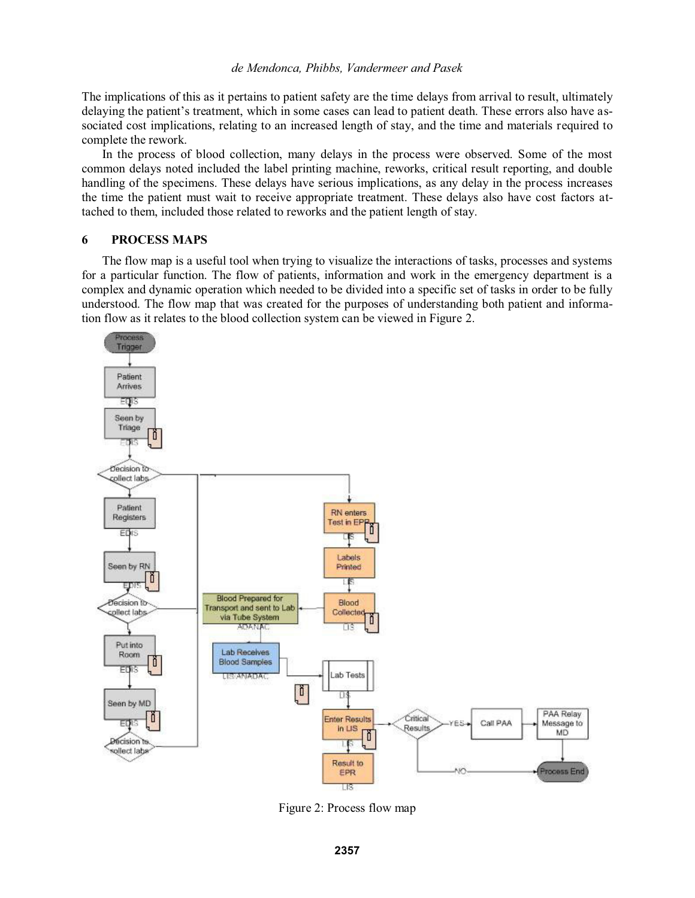The implications of this as it pertains to patient safety are the time delays from arrival to result, ultimately delaying the patient's treatment, which in some cases can lead to patient death. These errors also have associated cost implications, relating to an increased length of stay, and the time and materials required to complete the rework.

In the process of blood collection, many delays in the process were observed. Some of the most common delays noted included the label printing machine, reworks, critical result reporting, and double handling of the specimens. These delays have serious implications, as any delay in the process increases the time the patient must wait to receive appropriate treatment. These delays also have cost factors attached to them, included those related to reworks and the patient length of stay.

#### **6 PROCESS MAPS**

The flow map is a useful tool when trying to visualize the interactions of tasks, processes and systems for a particular function. The flow of patients, information and work in the emergency department is a complex and dynamic operation which needed to be divided into a specific set of tasks in order to be fully understood. The flow map that was created for the purposes of understanding both patient and information flow as it relates to the blood collection system can be viewed in Figure 2.



Figure 2: Process flow map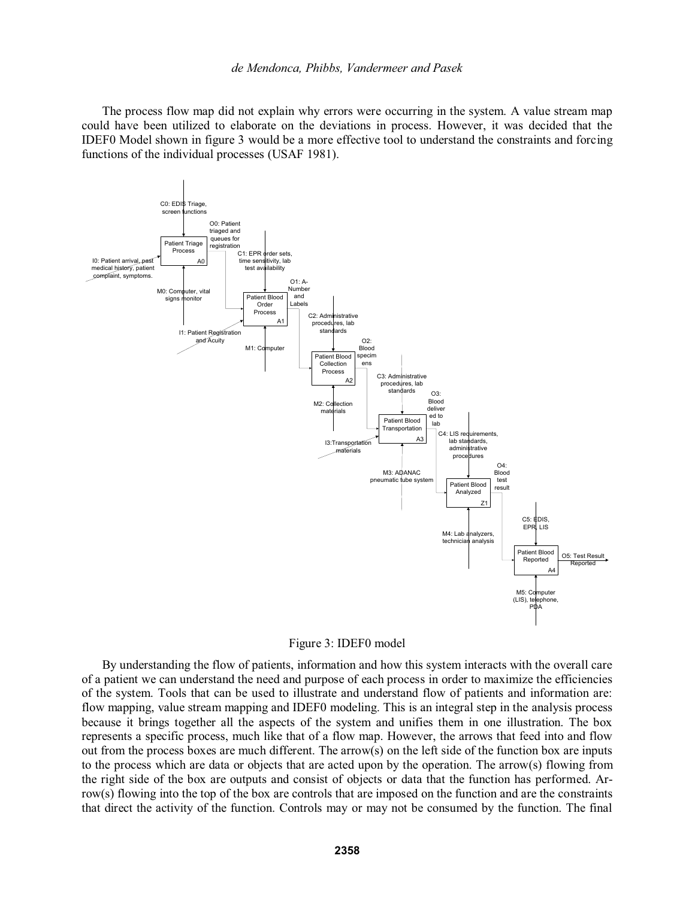The process flow map did not explain why errors were occurring in the system. A value stream map could have been utilized to elaborate on the deviations in process. However, it was decided that the IDEF0 Model shown in figure 3 would be a more effective tool to understand the constraints and forcing functions of the individual processes (USAF 1981).





By understanding the flow of patients, information and how this system interacts with the overall care of a patient we can understand the need and purpose of each process in order to maximize the efficiencies of the system. Tools that can be used to illustrate and understand flow of patients and information are: flow mapping, value stream mapping and IDEF0 modeling. This is an integral step in the analysis process because it brings together all the aspects of the system and unifies them in one illustration. The box represents a specific process, much like that of a flow map. However, the arrows that feed into and flow out from the process boxes are much different. The arrow(s) on the left side of the function box are inputs to the process which are data or objects that are acted upon by the operation. The arrow(s) flowing from the right side of the box are outputs and consist of objects or data that the function has performed. Arrow(s) flowing into the top of the box are controls that are imposed on the function and are the constraints that direct the activity of the function. Controls may or may not be consumed by the function. The final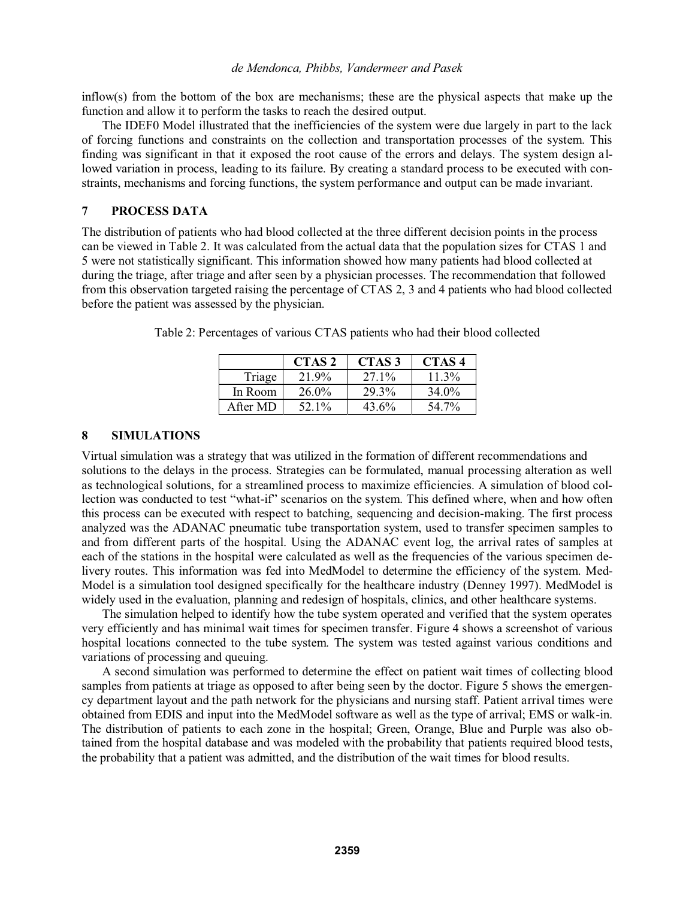inflow(s) from the bottom of the box are mechanisms; these are the physical aspects that make up the function and allow it to perform the tasks to reach the desired output.

The IDEF0 Model illustrated that the inefficiencies of the system were due largely in part to the lack of forcing functions and constraints on the collection and transportation processes of the system. This finding was significant in that it exposed the root cause of the errors and delays. The system design allowed variation in process, leading to its failure. By creating a standard process to be executed with constraints, mechanisms and forcing functions, the system performance and output can be made invariant.

### **7 PROCESS DATA**

The distribution of patients who had blood collected at the three different decision points in the process can be viewed in Table 2. It was calculated from the actual data that the population sizes for CTAS 1 and 5 were not statistically significant. This information showed how many patients had blood collected at during the triage, after triage and after seen by a physician processes. The recommendation that followed from this observation targeted raising the percentage of CTAS 2, 3 and 4 patients who had blood collected before the patient was assessed by the physician.

|          | CTAS <sub>2</sub> | CTAS <sub>3</sub> | CTAS <sub>4</sub> |
|----------|-------------------|-------------------|-------------------|
| Triage   | 21.9%             | 27.1%             | $11.3\%$          |
| In Room  | $26.0\%$          | 29.3%             | 34.0%             |
| After MD | 52.1%             | 43.6%             | 54.7%             |

Table 2: Percentages of various CTAS patients who had their blood collected

### **8 SIMULATIONS**

Virtual simulation was a strategy that was utilized in the formation of different recommendations and solutions to the delays in the process. Strategies can be formulated, manual processing alteration as well as technological solutions, for a streamlined process to maximize efficiencies. A simulation of blood col lection was conducted to test "what-if" scenarios on the system. This defined where, when and how often this process can be executed with respect to batching, sequencing and decision-making. The first process analyzed was the ADANAC pneumatic tube transportation system, used to transfer specimen samples to and from different parts of the hospital. Using the ADANAC event log, the arrival rates of samples at each of the stations in the hospital were calculated as well as the frequencies of the various specimen delivery routes. This information was fed into MedModel to determine the efficiency of the system. Med-Model is a simulation tool designed specifically for the healthcare industry (Denney 1997). MedModel is widely used in the evaluation, planning and redesign of hospitals, clinics, and other healthcare systems.

 The simulation helped to identify how the tube system operated and verified that the system operates very efficiently and has minimal wait times for specimen transfer. Figure 4 shows a screenshot of various hospital locations connected to the tube system. The system was tested against various conditions and variations of processing and queuing.

A second simulation was performed to determine the effect on patient wait times of collecting blood samples from patients at triage as opposed to after being seen by the doctor. Figure 5 shows the emergency department layout and the path network for the physicians and nursing staff. Patient arrival times were obtained from EDIS and input into the MedModel software as well as the type of arrival; EMS or walk-in. The distribution of patients to each zone in the hospital; Green, Orange, Blue and Purple was also obtained from the hospital database and was modeled with the probability that patients required blood tests, the probability that a patient was admitted, and the distribution of the wait times for blood results.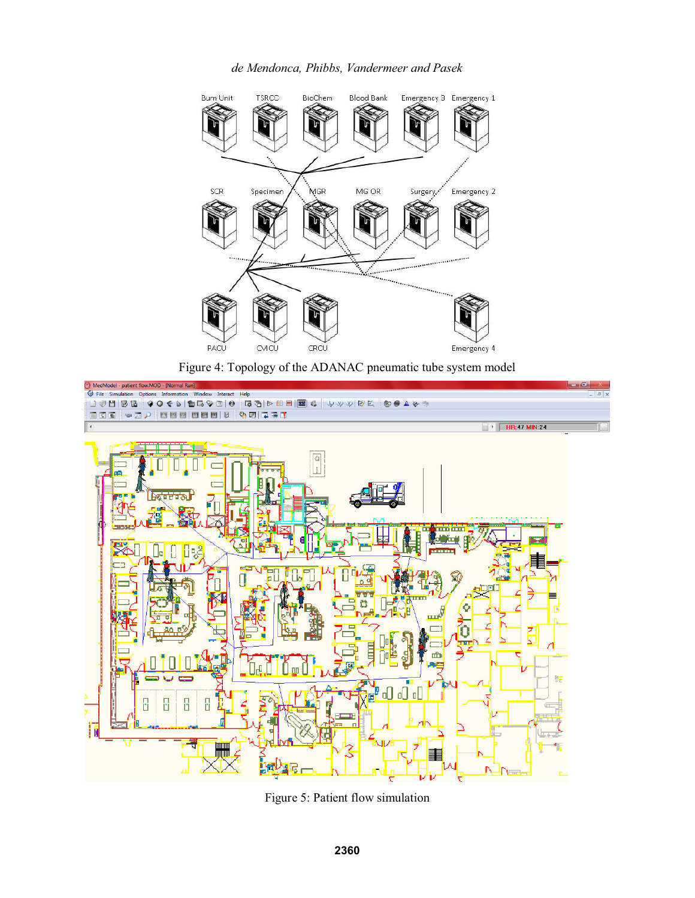

Figure 4: Topology of the ADANAC pneumatic tube system model



Figure 5: Patient flow simulation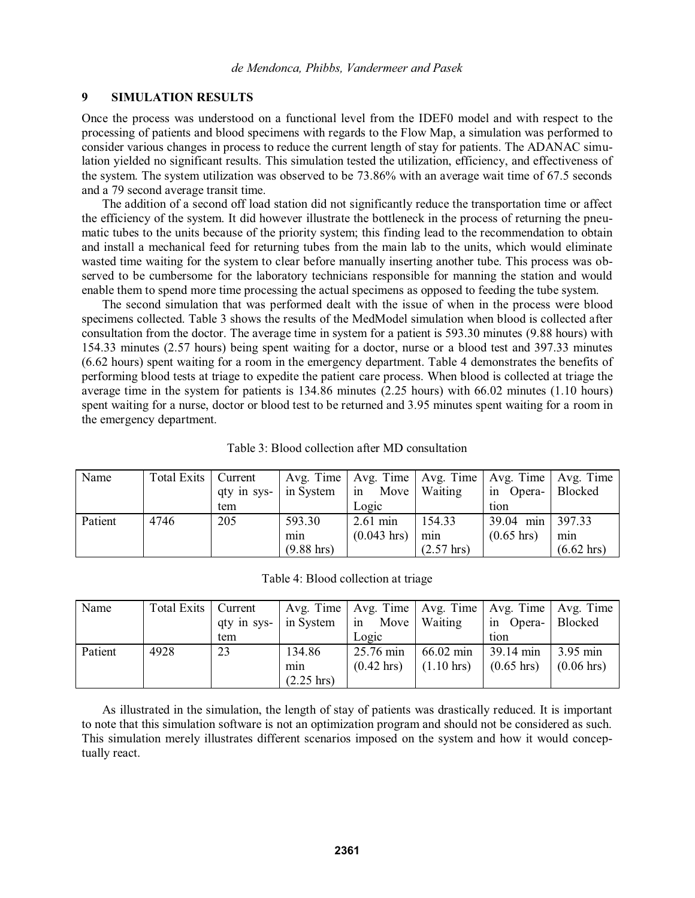### **9 SIMULATION RESULTS**

Once the process was understood on a functional level from the IDEF0 model and with respect to the processing of patients and blood specimens with regards to the Flow Map, a simulation was performed to consider various changes in process to reduce the current length of stay for patients. The ADANAC simulation yielded no significant results. This simulation tested the utilization, efficiency, and effectiveness of the system. The system utilization was observed to be 73.86% with an average wait time of 67.5 seconds and a 79 second average transit time.

The addition of a second off load station did not significantly reduce the transportation time or affect the efficiency of the system. It did however illustrate the bottleneck in the process of returning the pneumatic tubes to the units because of the priority system; this finding lead to the recommendation to obtain and install a mechanical feed for returning tubes from the main lab to the units, which would eliminate wasted time waiting for the system to clear before manually inserting another tube. This process was observed to be cumbersome for the laboratory technicians responsible for manning the station and would enable them to spend more time processing the actual specimens as opposed to feeding the tube system.

The second simulation that was performed dealt with the issue of when in the process were blood specimens collected. Table 3 shows the results of the MedModel simulation when blood is collected after consultation from the doctor. The average time in system for a patient is 593.30 minutes (9.88 hours) with 154.33 minutes (2.57 hours) being spent waiting for a doctor, nurse or a blood test and 397.33 minutes (6.62 hours) spent waiting for a room in the emergency department. Table 4 demonstrates the benefits of performing blood tests at triage to expedite the patient care process. When blood is collected at triage the average time in the system for patients is 134.86 minutes (2.25 hours) with 66.02 minutes (1.10 hours) spent waiting for a nurse, doctor or blood test to be returned and 3.95 minutes spent waiting for a room in the emergency department.

|  |  |  |  |  | Table 3: Blood collection after MD consultation |
|--|--|--|--|--|-------------------------------------------------|
|--|--|--|--|--|-------------------------------------------------|

| Name    | Total Exits   Current |                       |                      |                       | Avg. Time   Avg. Time   Avg. Time   Avg. Time   Avg. Time |                      |                      |
|---------|-----------------------|-----------------------|----------------------|-----------------------|-----------------------------------------------------------|----------------------|----------------------|
|         |                       | qty in sys- in System |                      | in                    | Move Waiting                                              | in Opera- Blocked    |                      |
|         |                       | tem                   |                      | Logic                 |                                                           | tion                 |                      |
| Patient | 4746                  | 205                   | 593.30               | $2.61$ min            | 154.33                                                    | 39.04 min            | 397.33               |
|         |                       |                       | min                  | $(0.043 \text{ hrs})$ | min                                                       | $(0.65 \text{ hrs})$ | min                  |
|         |                       |                       | $(9.88 \text{ hrs})$ |                       | $(2.57 \text{ hrs})$                                      |                      | $(6.62 \text{ hrs})$ |

Table 4: Blood collection at triage

| Name    | Total Exits   Current |             |                      | Avg. Time   Avg. Time   Avg. Time   Avg. Time   Avg. Time |                      |                      |                      |
|---------|-----------------------|-------------|----------------------|-----------------------------------------------------------|----------------------|----------------------|----------------------|
|         |                       | qty in sys- | in System            | in                                                        | Move Waiting         | in Opera-            | Blocked              |
|         |                       | tem         |                      | Logic                                                     |                      | tion                 |                      |
| Patient | 4928                  | 23          | 134.86               | 25.76 min                                                 | 66.02 min            | 39.14 min            | 3.95 min             |
|         |                       |             | min                  | $(0.42 \text{ hrs})$                                      | $(1.10 \text{ hrs})$ | $(0.65 \text{ hrs})$ | $(0.06 \text{ hrs})$ |
|         |                       |             | $(2.25 \text{ hrs})$ |                                                           |                      |                      |                      |

As illustrated in the simulation, the length of stay of patients was drastically reduced. It is important to note that this simulation software is not an optimization program and should not be considered as such. This simulation merely illustrates different scenarios imposed on the system and how it would conceptually react.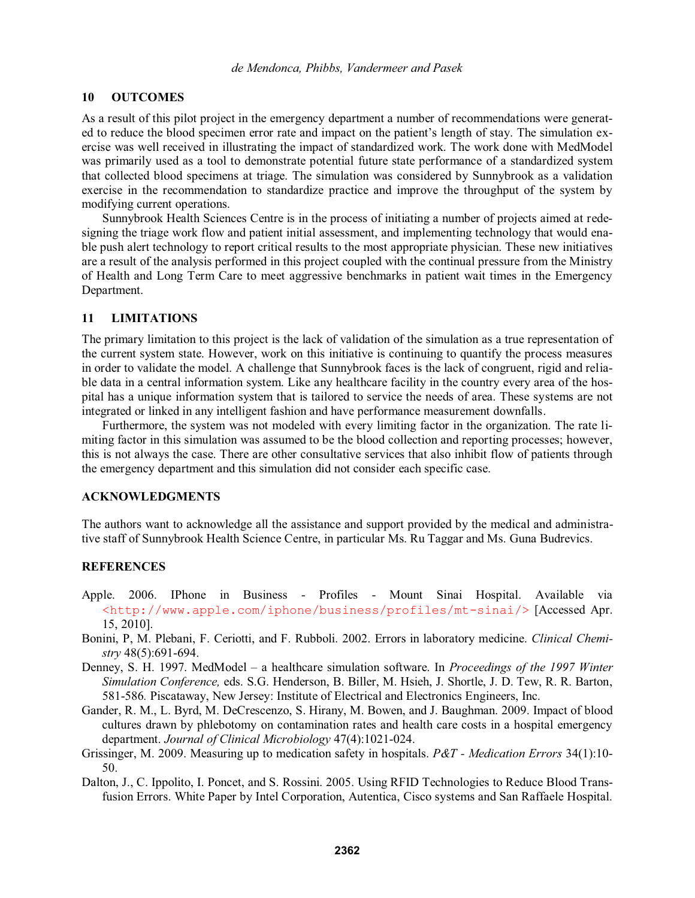## **10 OUTCOMES**

As a result of this pilot project in the emergency department a number of recommendations were generat ed to reduce the blood specimen error rate and impact on the patient's length of stay. The simulation exercise was well received in illustrating the impact of standardized work. The work done with MedModel was primarily used as a tool to demonstrate potential future state performance of a standardized system that collected blood specimens at triage. The simulation was considered by Sunnybrook as a validation exercise in the recommendation to standardize practice and improve the throughput of the system by modifying current operations.

Sunnybrook Health Sciences Centre is in the process of initiating a number of projects aimed at redesigning the triage work flow and patient initial assessment, and implementing technology that would enable push alert technology to report critical results to the most appropriate physician. These new initiatives are a result of the analysis performed in this project coupled with the continual pressure from the Ministry of Health and Long Term Care to meet aggressive benchmarks in patient wait times in the Emergency Department.

# **11 LIMITATIONS**

The primary limitation to this project is the lack of validation of the simulation as a true representation of the current system state. However, work on this initiative is continuing to quantify the process measures in order to validate the model. A challenge that Sunnybrook faces is the lack of congruent, rigid and reliable data in a central information system. Like any healthcare facility in the country every area of the hospital has a unique information system that is tailored to service the needs of area. These systems are not integrated or linked in any intelligent fashion and have performance measurement downfalls.

Furthermore, the system was not modeled with every limiting factor in the organization. The rate limiting factor in this simulation was assumed to be the blood collection and reporting processes; however, this is not always the case. There are other consultative services that also inhibit flow of patients through the emergency department and this simulation did not consider each specific case.

## **ACKNOWLEDGMENTS**

The authors want to acknowledge all the assistance and support provided by the medical and administrative staff of Sunnybrook Health Science Centre, in particular Ms. Ru Taggar and Ms. Guna Budrevics.

## **REFERENCES**

- Apple. 2006. IPhone in Business Profiles Mount Sinai Hospital. Available via <http://www.apple.com/iphone/business/profiles/mt-sinai/> [Accessed Apr. 15, 2010].
- Bonini, P, M. Plebani, F. Ceriotti, and F. Rubboli. 2002. Errors in laboratory medicine. *Clinical Chemistry* 48(5):691-694.
- Denney, S. H. 1997. MedModel < a healthcare simulation software. In *Proceedings of the 1997 Winter Simulation Conference,* eds. S.G. Henderson, B. Biller, M. Hsieh, J. Shortle, J. D. Tew, R. R. Barton, 581-586*.* Piscataway, New Jersey: Institute of Electrical and Electronics Engineers, Inc.
- Gander, R. M., L. Byrd, M. DeCrescenzo, S. Hirany, M. Bowen, and J. Baughman. 2009. Impact of blood cultures drawn by phlebotomy on contamination rates and health care costs in a hospital emergency department. *Journal of Clinical Microbiology* 47(4):1021-024.
- Grissinger, M. 2009. Measuring up to medication safety in hospitals. *P&T Medication Errors* 34(1):10- 50.
- Dalton, J., C. Ippolito, I. Poncet, and S. Rossini. 2005. Using RFID Technologies to Reduce Blood Transfusion Errors. White Paper by Intel Corporation, Autentica, Cisco systems and San Raffaele Hospital.